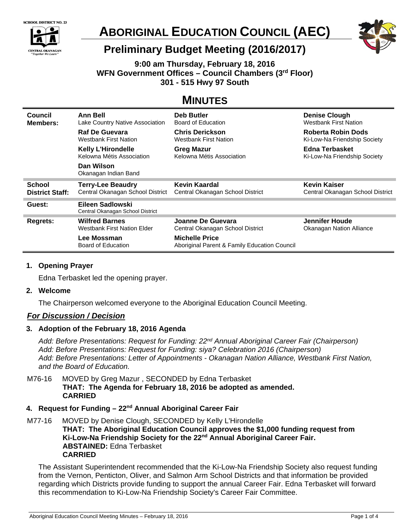



# **ABORIGINAL EDUCATION COUNCIL (AEC)**



# **Preliminary Budget Meeting (2016/2017)**

**9:00 am Thursday, February 18, 2016 WFN Government Offices – Council Chambers (3rd Floor) 301 - 515 Hwy 97 South** 

# **MINUTES**

| Council                | <b>Ann Bell</b>                                      | Deb Butler                       | <b>Denise Clough</b>             |
|------------------------|------------------------------------------------------|----------------------------------|----------------------------------|
| <b>Members:</b>        | Lake Country Native Association                      | Board of Education               | <b>Westbank First Nation</b>     |
|                        | <b>Raf De Guevara</b>                                | <b>Chris Derickson</b>           | Roberta Robin Dods               |
|                        | <b>Westbank First Nation</b>                         | Westbank First Nation            | Ki-Low-Na Friendship Society     |
|                        | <b>Kelly L'Hirondelle</b>                            | <b>Greg Mazur</b>                | Edna Terbasket                   |
|                        | Kelowna Métis Association                            | Kelowna Métis Association        | Ki-Low-Na Friendship Society     |
|                        | Dan Wilson<br>Okanagan Indian Band                   |                                  |                                  |
| <b>School</b>          | <b>Terry-Lee Beaudry</b>                             | Kevin Kaardal                    | <b>Kevin Kaiser</b>              |
| <b>District Staff:</b> | Central Okanagan School District                     | Central Okanagan School District | Central Okanagan School District |
|                        |                                                      |                                  |                                  |
| Guest:                 | Eileen Sadlowski<br>Central Okanagan School District |                                  |                                  |
| Regrets:               | <b>Wilfred Barnes</b>                                | Joanne De Guevara                | Jennifer Houde                   |
|                        | <b>Westbank First Nation Elder</b>                   | Central Okanagan School District | <b>Okanagan Nation Alliance</b>  |

# **1. Opening Prayer**

Edna Terbasket led the opening prayer.

#### **2. Welcome**

The Chairperson welcomed everyone to the Aboriginal Education Council Meeting.

# *For Discussion / Decision*

# **3. Adoption of the February 18, 2016 Agenda**

*Add: Before Presentations: Request for Funding: 22nd Annual Aboriginal Career Fair (Chairperson) Add: Before Presentations: Request for Funding: siya? Celebration 2016 (Chairperson) Add: Before Presentations: Letter of Appointments - Okanagan Nation Alliance, Westbank First Nation, and the Board of Education.* 

M76-16 MOVED by Greg Mazur , SECONDED by Edna Terbasket **THAT: The Agenda for February 18, 2016 be adopted as amended. CARRIED**

## 4. Request for Funding – 22<sup>nd</sup> Annual Aboriginal Career Fair

M77-16 MOVED by Denise Clough, SECONDED by Kelly L'Hirondelle **THAT: The Aboriginal Education Council approves the \$1,000 funding request from Ki-Low-Na Friendship Society for the 22nd Annual Aboriginal Career Fair. ABSTAINED:** Edna Terbasket **CARRIED** 

The Assistant Superintendent recommended that the Ki-Low-Na Friendship Society also request funding from the Vernon, Penticton, Oliver, and Salmon Arm School Districts and that information be provided regarding which Districts provide funding to support the annual Career Fair. Edna Terbasket will forward this recommendation to Ki-Low-Na Friendship Society's Career Fair Committee.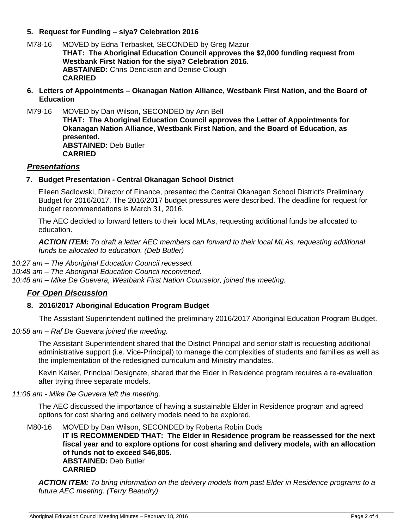## **5. Request for Funding – siya? Celebration 2016**

- M78-16 MOVED by Edna Terbasket, SECONDED by Greg Mazur **THAT: The Aboriginal Education Council approves the \$2,000 funding request from Westbank First Nation for the siya? Celebration 2016. ABSTAINED:** Chris Derickson and Denise Clough **CARRIED**
- **6. Letters of Appointments Okanagan Nation Alliance, Westbank First Nation, and the Board of Education**
- M79-16 MOVED by Dan Wilson, SECONDED by Ann Bell

**THAT: The Aboriginal Education Council approves the Letter of Appointments for Okanagan Nation Alliance, Westbank First Nation, and the Board of Education, as presented. ABSTAINED:** Deb Butler **CARRIED** 

#### *Presentations*

#### **7. Budget Presentation - Central Okanagan School District**

Eileen Sadlowski, Director of Finance, presented the Central Okanagan School District's Preliminary Budget for 2016/2017. The 2016/2017 budget pressures were described. The deadline for request for budget recommendations is March 31, 2016.

The AEC decided to forward letters to their local MLAs, requesting additional funds be allocated to education.

*ACTION ITEM: To draft a letter AEC members can forward to their local MLAs, requesting additional funds be allocated to education. (Deb Butler)* 

*10:27 am – The Aboriginal Education Council recessed. 10:48 am – The Aboriginal Education Council reconvened. 10:48 am – Mike De Guevera, Westbank First Nation Counselor, joined the meeting.* 

#### *For Open Discussion*

#### **8. 2016/2017 Aboriginal Education Program Budget**

The Assistant Superintendent outlined the preliminary 2016/2017 Aboriginal Education Program Budget.

*10:58 am – Raf De Guevara joined the meeting.* 

The Assistant Superintendent shared that the District Principal and senior staff is requesting additional administrative support (i.e. Vice-Principal) to manage the complexities of students and families as well as the implementation of the redesigned curriculum and Ministry mandates.

Kevin Kaiser, Principal Designate, shared that the Elder in Residence program requires a re-evaluation after trying three separate models.

*11:06 am - Mike De Guevera left the meeting.* 

The AEC discussed the importance of having a sustainable Elder in Residence program and agreed options for cost sharing and delivery models need to be explored.

M80-16 MOVED by Dan Wilson, SECONDED by Roberta Robin Dods **IT IS RECOMMENDED THAT: The Elder in Residence program be reassessed for the next fiscal year and to explore options for cost sharing and delivery models, with an allocation of funds not to exceed \$46,805. ABSTAINED:** Deb Butler **CARRIED** 

*ACTION ITEM: To bring information on the delivery models from past Elder in Residence programs to a future AEC meeting. (Terry Beaudry)*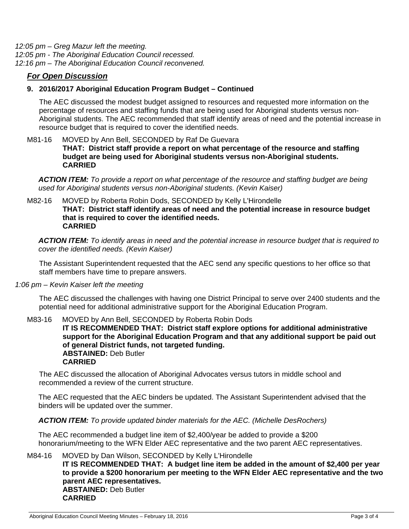*12:05 pm – Greg Mazur left the meeting. 12:05 pm - The Aboriginal Education Council recessed. 12:16 pm – The Aboriginal Education Council reconvened.*

## *For Open Discussion*

#### **9. 2016/2017 Aboriginal Education Program Budget – Continued**

The AEC discussed the modest budget assigned to resources and requested more information on the percentage of resources and staffing funds that are being used for Aboriginal students versus non-Aboriginal students. The AEC recommended that staff identify areas of need and the potential increase in resource budget that is required to cover the identified needs.

#### M81-16 MOVED by Ann Bell, SECONDED by Raf De Guevara **THAT: District staff provide a report on what percentage of the resource and staffing budget are being used for Aboriginal students versus non-Aboriginal students. CARRIED**

*ACTION ITEM: To provide a report on what percentage of the resource and staffing budget are being used for Aboriginal students versus non-Aboriginal students. (Kevin Kaiser)* 

#### M82-16 MOVED by Roberta Robin Dods, SECONDED by Kelly L'Hirondelle **THAT: District staff identify areas of need and the potential increase in resource budget that is required to cover the identified needs. CARRIED**

*ACTION ITEM: To identify areas in need and the potential increase in resource budget that is required to cover the identified needs. (Kevin Kaiser)* 

The Assistant Superintendent requested that the AEC send any specific questions to her office so that staff members have time to prepare answers.

*1:06 pm – Kevin Kaiser left the meeting* 

The AEC discussed the challenges with having one District Principal to serve over 2400 students and the potential need for additional administrative support for the Aboriginal Education Program.

M83-16 MOVED by Ann Bell, SECONDED by Roberta Robin Dods

**IT IS RECOMMENDED THAT: District staff explore options for additional administrative support for the Aboriginal Education Program and that any additional support be paid out of general District funds, not targeted funding. ABSTAINED:** Deb Butler **CARRIED** 

The AEC discussed the allocation of Aboriginal Advocates versus tutors in middle school and recommended a review of the current structure.

The AEC requested that the AEC binders be updated. The Assistant Superintendent advised that the binders will be updated over the summer.

*ACTION ITEM: To provide updated binder materials for the AEC. (Michelle DesRochers)*

The AEC recommended a budget line item of \$2,400/year be added to provide a \$200 honorarium/meeting to the WFN Elder AEC representative and the two parent AEC representatives.

#### M84-16 MOVED by Dan Wilson, SECONDED by Kelly L'Hirondelle

**IT IS RECOMMENDED THAT: A budget line item be added in the amount of \$2,400 per year to provide a \$200 honorarium per meeting to the WFN Elder AEC representative and the two parent AEC representatives. ABSTAINED:** Deb Butler **CARRIED**